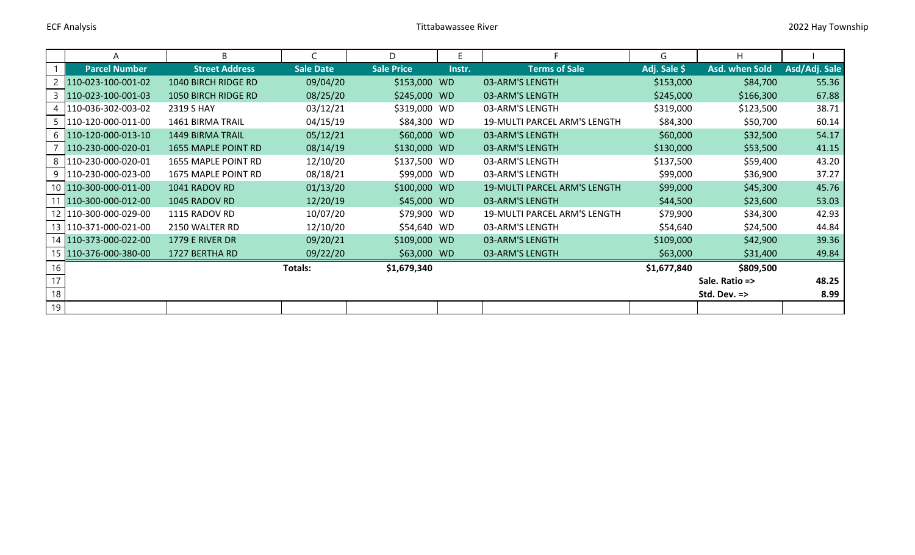|    | Α                       | B                       |                  | D                 | E.     |                              | G            | H              |               |
|----|-------------------------|-------------------------|------------------|-------------------|--------|------------------------------|--------------|----------------|---------------|
|    | <b>Parcel Number</b>    | <b>Street Address</b>   | <b>Sale Date</b> | <b>Sale Price</b> | Instr. | <b>Terms of Sale</b>         | Adj. Sale \$ | Asd. when Sold | Asd/Adj. Sale |
|    | 110-023-100-001-02      | 1040 BIRCH RIDGE RD     | 09/04/20         | \$153,000 WD      |        | 03-ARM'S LENGTH              | \$153,000    | \$84,700       | 55.36         |
|    | 110-023-100-001-03      | 1050 BIRCH RIDGE RD     | 08/25/20         | \$245,000 WD      |        | 03-ARM'S LENGTH              | \$245,000    | \$166,300      | 67.88         |
|    | 110-036-302-003-02      | 2319 S HAY              | 03/12/21         | \$319,000         | WD     | 03-ARM'S LENGTH              | \$319,000    | \$123,500      | 38.71         |
|    | 5   110-120-000-011-00  | <b>1461 BIRMA TRAIL</b> | 04/15/19         | \$84,300 WD       |        | 19-MULTI PARCEL ARM'S LENGTH | \$84,300     | \$50,700       | 60.14         |
|    | 6 110-120-000-013-10    | <b>1449 BIRMA TRAIL</b> | 05/12/21         | \$60,000 WD       |        | 03-ARM'S LENGTH              | \$60,000     | \$32,500       | 54.17         |
|    | 110-230-000-020-01      | 1655 MAPLE POINT RD     | 08/14/19         | \$130,000 WD      |        | 03-ARM'S LENGTH              | \$130,000    | \$53,500       | 41.15         |
|    | 8 110-230-000-020-01    | 1655 MAPLE POINT RD     | 12/10/20         | \$137,500 WD      |        | 03-ARM'S LENGTH              | \$137,500    | \$59,400       | 43.20         |
|    | 9   110-230-000-023-00  | 1675 MAPLE POINT RD     | 08/18/21         | \$99,000 WD       |        | 03-ARM'S LENGTH              | \$99,000     | \$36,900       | 37.27         |
|    | 10 110-300-000-011-00   | 1041 RADOV RD           | 01/13/20         | \$100,000 WD      |        | 19-MULTI PARCEL ARM'S LENGTH | \$99,000     | \$45,300       | 45.76         |
| 11 | 110-300-000-012-00      | 1045 RADOV RD           | 12/20/19         | \$45,000 WD       |        | 03-ARM'S LENGTH              | \$44,500     | \$23,600       | 53.03         |
|    | 12 110-300-000-029-00   | 1115 RADOV RD           | 10/07/20         | \$79,900          | WD     | 19-MULTI PARCEL ARM'S LENGTH | \$79,900     | \$34,300       | 42.93         |
|    | 13   110-371-000-021-00 | 2150 WALTER RD          | 12/10/20         | \$54,640 WD       |        | 03-ARM'S LENGTH              | \$54,640     | \$24,500       | 44.84         |
|    | 14 110-373-000-022-00   | 1779 E RIVER DR         | 09/20/21         | \$109,000 WD      |        | 03-ARM'S LENGTH              | \$109,000    | \$42,900       | 39.36         |
|    | 15 110-376-000-380-00   | 1727 BERTHA RD          | 09/22/20         | \$63,000 WD       |        | 03-ARM'S LENGTH              | \$63,000     | \$31,400       | 49.84         |
| 16 |                         |                         | Totals:          | \$1,679,340       |        |                              | \$1,677,840  | \$809,500      |               |
| 17 |                         |                         |                  |                   |        |                              |              | Sale. Ratio => | 48.25         |
| 18 |                         |                         |                  |                   |        |                              |              | Std. Dev. =>   | 8.99          |
| 19 |                         |                         |                  |                   |        |                              |              |                |               |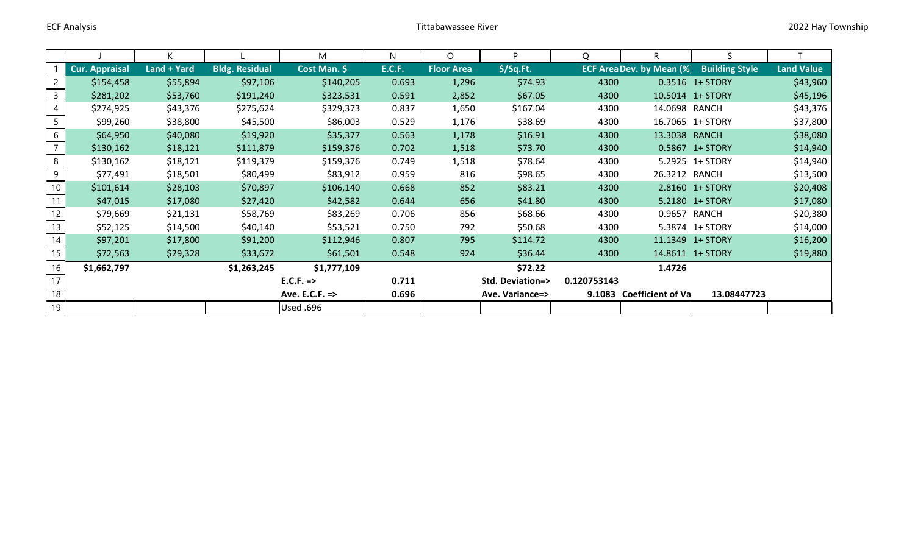|                 |                | K           |                       | M                | N.            | O                 | <b>D</b>                   | Q           | R                                | S                     |                   |
|-----------------|----------------|-------------|-----------------------|------------------|---------------|-------------------|----------------------------|-------------|----------------------------------|-----------------------|-------------------|
|                 | Cur. Appraisal | Land + Yard | <b>Bldg. Residual</b> | Cost Man. \$     | <b>E.C.F.</b> | <b>Floor Area</b> | $$$ /Sq.Ft.                |             | <b>ECF Area Dev. by Mean (%)</b> | <b>Building Style</b> | <b>Land Value</b> |
| 2               | \$154,458      | \$55,894    | \$97,106              | \$140,205        | 0.693         | 1,296             | \$74.93                    | 4300        |                                  | 0.3516 1+ STORY       | \$43,960          |
| 3               | \$281,202      | \$53,760    | \$191,240             | \$323,531        | 0.591         | 2,852             | \$67.05                    | 4300        |                                  | 10.5014 1+ STORY      | \$45,196          |
|                 | \$274,925      | \$43,376    | \$275,624             | \$329,373        | 0.837         | 1,650             | \$167.04                   | 4300        | 14.0698 RANCH                    |                       | \$43,376          |
|                 | \$99,260       | \$38,800    | \$45,500              | \$86,003         | 0.529         | 1,176             | \$38.69                    | 4300        |                                  | 16.7065 1+ STORY      | \$37,800          |
| 6               | \$64,950       | \$40,080    | \$19,920              | \$35,377         | 0.563         | 1,178             | \$16.91                    | 4300        | 13.3038 RANCH                    |                       | \$38,080          |
|                 | \$130,162      | \$18,121    | \$111,879             | \$159,376        | 0.702         | 1,518             | \$73.70                    | 4300        |                                  | 0.5867 1+ STORY       | \$14,940          |
| 8               | \$130,162      | \$18,121    | \$119,379             | \$159,376        | 0.749         | 1,518             | \$78.64                    | 4300        |                                  | 5.2925 1+ STORY       | \$14,940          |
| 9               | \$77,491       | \$18,501    | \$80,499              | \$83,912         | 0.959         | 816               | \$98.65                    | 4300        | 26.3212 RANCH                    |                       | \$13,500          |
| 10 <sup>°</sup> | \$101,614      | \$28,103    | \$70,897              | \$106,140        | 0.668         | 852               | \$83.21                    | 4300        |                                  | 2.8160 1+ STORY       | \$20,408          |
| 11              | \$47,015       | \$17,080    | \$27,420              | \$42,582         | 0.644         | 656               | \$41.80                    | 4300        |                                  | 5.2180 1+ STORY       | \$17,080          |
| 12              | \$79,669       | \$21,131    | \$58,769              | \$83,269         | 0.706         | 856               | \$68.66                    | 4300        | 0.9657                           | RANCH                 | \$20,380          |
| 13              | \$52,125       | \$14,500    | \$40,140              | \$53,521         | 0.750         | 792               | \$50.68                    | 4300        |                                  | 5.3874 1+ STORY       | \$14,000          |
| 14              | \$97,201       | \$17,800    | \$91,200              | \$112,946        | 0.807         | 795               | \$114.72                   | 4300        |                                  | 11.1349 1+ STORY      | \$16,200          |
| 15              | \$72,563       | \$29,328    | \$33,672              | \$61,501         | 0.548         | 924               | \$36.44                    | 4300        |                                  | 14.8611 1+ STORY      | \$19,880          |
| 16              | \$1,662,797    |             | \$1,263,245           | \$1,777,109      |               |                   | \$72.22                    |             | 1.4726                           |                       |                   |
| 17              |                |             |                       | $E.C.F. =>$      | 0.711         |                   | <b>Std. Deviation=&gt;</b> | 0.120753143 |                                  |                       |                   |
| 18              |                |             |                       | Ave. E.C.F. =>   | 0.696         |                   | Ave. Variance=>            |             | 9.1083 Coefficient of Va         | 13.08447723           |                   |
| 19              |                |             |                       | <b>Used .696</b> |               |                   |                            |             |                                  |                       |                   |